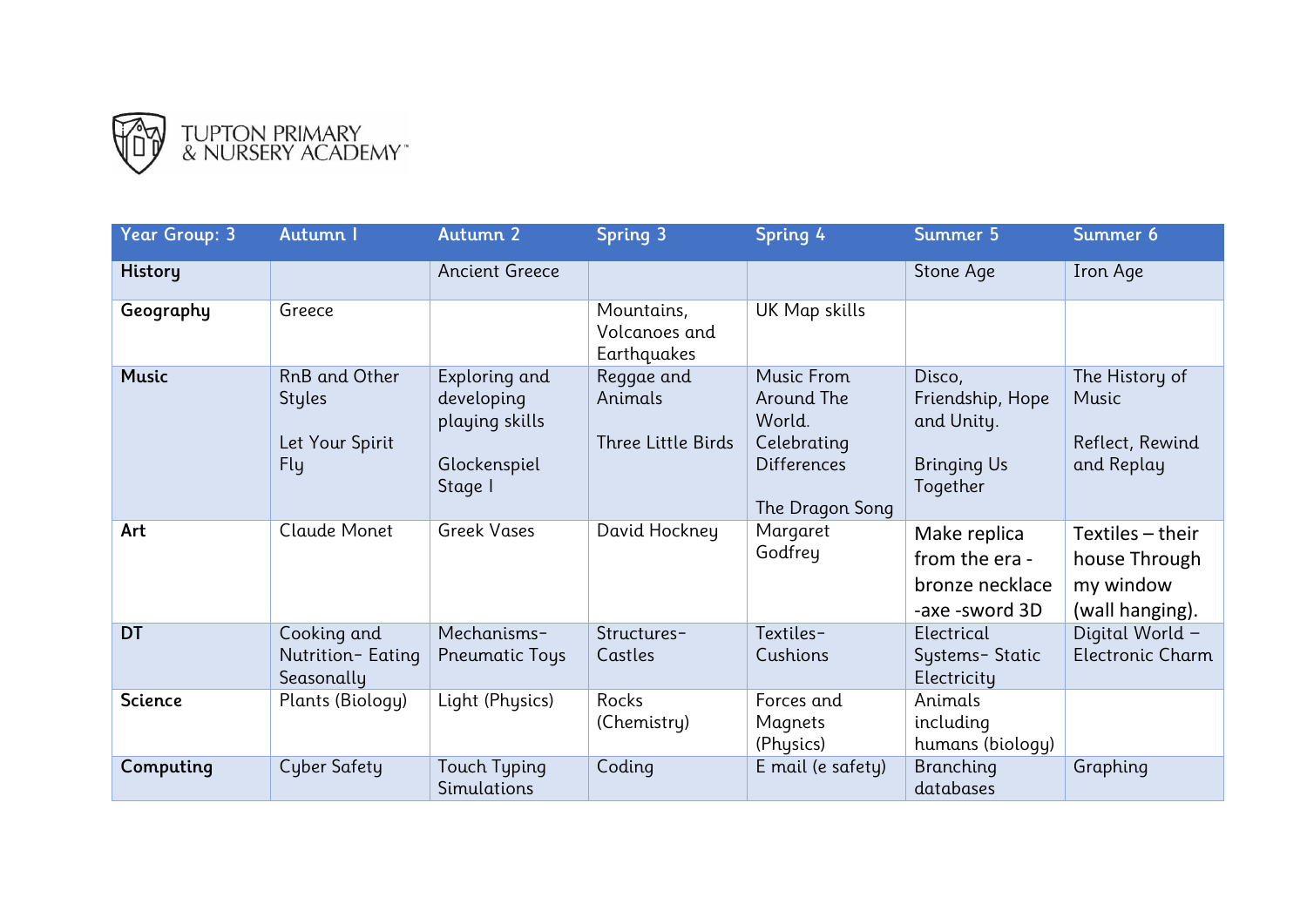

| <b>Year Group: 3</b> | Autumn I                                                 | Autumn 2                                                                 | <b>Spring 3</b>                             | Spring 4                                                                                   | Summer 5                                                                   | Summer 6                                                            |
|----------------------|----------------------------------------------------------|--------------------------------------------------------------------------|---------------------------------------------|--------------------------------------------------------------------------------------------|----------------------------------------------------------------------------|---------------------------------------------------------------------|
| <b>History</b>       |                                                          | <b>Ancient Greece</b>                                                    |                                             |                                                                                            | Stone Age                                                                  | Iron Age                                                            |
| Geography            | Greece                                                   |                                                                          | Mountains,<br>Volcanoes and<br>Earthquakes  | UK Map skills                                                                              |                                                                            |                                                                     |
| <b>Music</b>         | RnB and Other<br><b>Styles</b><br>Let Your Spirit<br>Fly | Exploring and<br>developing<br>playing skills<br>Glockenspiel<br>Stage I | Reggae and<br>Animals<br>Three Little Birds | Music From<br>Around The<br>World.<br>Celebrating<br><b>Differences</b><br>The Dragon Song | Disco,<br>Friendship, Hope<br>and Unity.<br><b>Bringing Us</b><br>Together | The History of<br>Music<br>Reflect, Rewind<br>and Replay            |
| Art                  | Claude Monet                                             | <b>Greek Vases</b>                                                       | David Hockney                               | Margaret<br>Godfrey                                                                        | Make replica<br>from the era -<br>bronze necklace<br>-axe -sword 3D        | Textiles $-$ their<br>house Through<br>my window<br>(wall hanging). |
| <b>DT</b>            | Cooking and<br>Nutrition-Eating<br>Seasonally            | Mechanisms-<br><b>Pneumatic Toys</b>                                     | Structures-<br>Castles                      | Textiles-<br>Cushions                                                                      | Electrical<br>Systems-Static<br>Electricity                                | Digital World -<br><b>Electronic Charm</b>                          |
| <b>Science</b>       | Plants (Biology)                                         | Light (Physics)                                                          | Rocks<br>(Chemistry)                        | Forces and<br>Magnets<br>(Physics)                                                         | Animals<br>including<br>humans (biology)                                   |                                                                     |
| Computing            | Cyber Safety                                             | Touch Typing<br>Simulations                                              | Coding                                      | E mail (e safety)                                                                          | Branching<br>databases                                                     | Graphing                                                            |